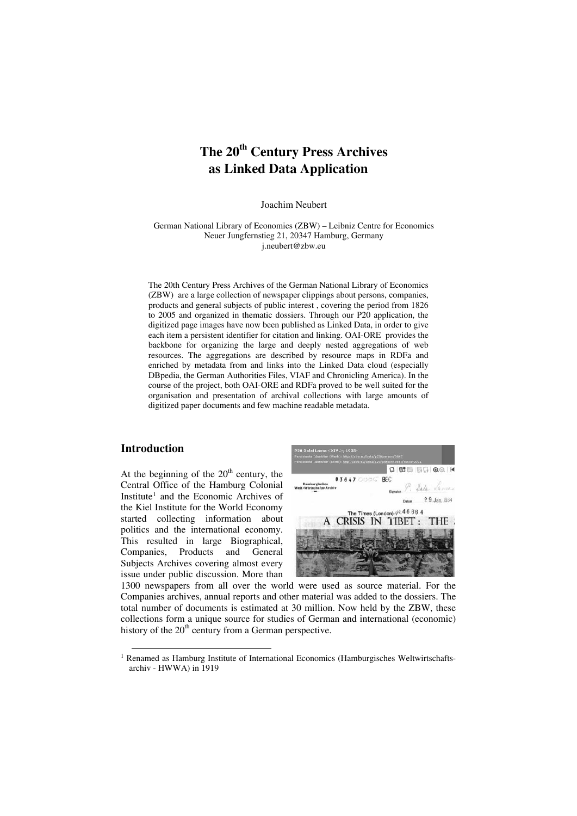# **The 20th Century Press Archives as Linked Data Application**

Joachim Neubert

German National Library of Economics (ZBW) – Leibniz Centre for Economics Neuer Jungfernstieg 21, 20347 Hamburg, Germany j.neubert@zbw.eu

The 20th Century Press Archives of the German National Library of Economics (ZBW) are a large collection of newspaper clippings about persons, companies, products and general subjects of public interest , covering the period from 1826 to 2005 and organized in thematic dossiers. Through our P20 application, the digitized page images have now been published as Linked Data, in order to give each item a persistent identifier for citation and linking. OAI-ORE provides the backbone for organizing the large and deeply nested aggregations of web resources. The aggregations are described by resource maps in RDFa and enriched by metadata from and links into the Linked Data cloud (especially DBpedia, the German Authorities Files, VIAF and Chronicling America). In the course of the project, both OAI-ORE and RDFa proved to be well suited for the organisation and presentation of archival collections with large amounts of digitized paper documents and few machine readable metadata.

# **Introduction**

At the beginning of the  $20<sup>th</sup>$  century, the Central Office of the Hamburg Colonial Institute<sup>[1](#page-0-0)</sup> and the Economic Archives of the Kiel Institute for the World Economy started collecting information about politics and the international economy. This resulted in large Biographical, Companies, Products and General Subjects Archives covering almost every issue under public discussion. More than



1300 newspapers from all over the world were used as source material. For the Companies archives, annual reports and other material was added to the dossiers. The total number of documents is estimated at 30 million. Now held by the ZBW, these collections form a unique source for studies of German and international (economic) history of the  $20<sup>th</sup>$  century from a German perspective.

<span id="page-0-0"></span> $<sup>1</sup>$  Renamed as Hamburg Institute of International Economics (Hamburgisches Weltwirtschafts-</sup> archiv - HWWA) in 1919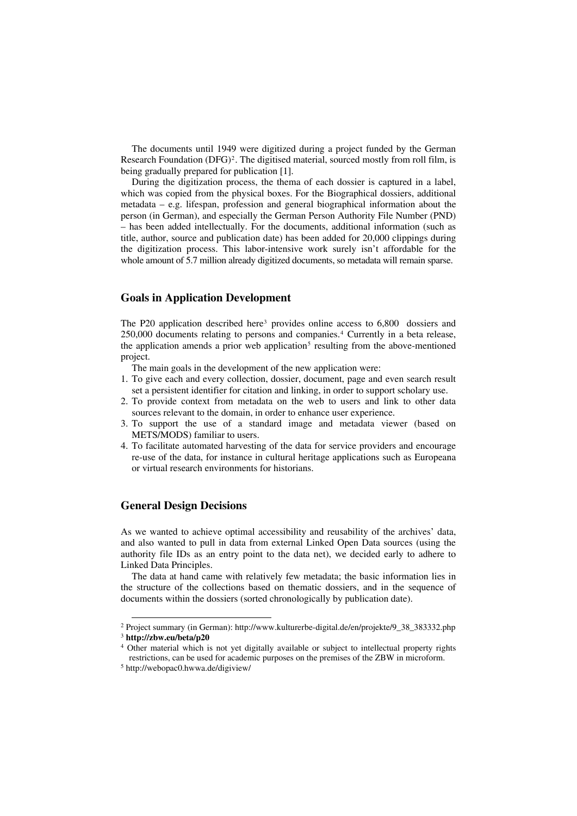The documents until 1949 were digitized during a project funded by the German Research Foundation  $(DFG)^2$  $(DFG)^2$ . The digitised material, sourced mostly from roll film, is being gradually prepared for publication [1].

During the digitization process, the thema of each dossier is captured in a label, which was copied from the physical boxes. For the Biographical dossiers, additional metadata – e.g. lifespan, profession and general biographical information about the person (in German), and especially the German Person Authority File Number (PND) – has been added intellectually. For the documents, additional information (such as title, author, source and publication date) has been added for 20,000 clippings during the digitization process. This labor-intensive work surely isn't affordable for the whole amount of 5.7 million already digitized documents, so metadata will remain sparse.

# **Goals in Application Development**

The P20 application described here<sup>[3](#page-1-1)</sup> provides online access to 6,800 dossiers and 250,000 documents relating to persons and companies[.4](#page-1-2) Currently in a beta release, the application amends a prior web application<sup>[5](#page-1-3)</sup> resulting from the above-mentioned project.

The main goals in the development of the new application were:

- 1. To give each and every collection, dossier, document, page and even search result set a persistent identifier for citation and linking, in order to support scholary use.
- 2. To provide context from metadata on the web to users and link to other data sources relevant to the domain, in order to enhance user experience.
- 3. To support the use of a standard image and metadata viewer (based on METS/MODS) familiar to users.
- 4. To facilitate automated harvesting of the data for service providers and encourage re-use of the data, for instance in cultural heritage applications such as Europeana or virtual research environments for historians.

# **General Design Decisions**

As we wanted to achieve optimal accessibility and reusability of the archives' data, and also wanted to pull in data from external Linked Open Data sources (using the authority file IDs as an entry point to the data net), we decided early to adhere to Linked Data Principles.

The data at hand came with relatively few metadata; the basic information lies in the structure of the collections based on thematic dossiers, and in the sequence of documents within the dossiers (sorted chronologically by publication date).

<span id="page-1-1"></span><span id="page-1-0"></span> <sup>2</sup> Project summary (in German): http://www.kulturerbe-digital.de/en/projekte/9\_38\_383332.php 3 **http://zbw.eu/beta/p20**

<span id="page-1-3"></span><span id="page-1-2"></span><sup>&</sup>lt;sup>4</sup> Other material which is not yet digitally available or subject to intellectual property rights restrictions, can be used for academic purposes on the premises of the ZBW in microform.  $5 \text{ http://webopac0.hwwa.de/digiview/}$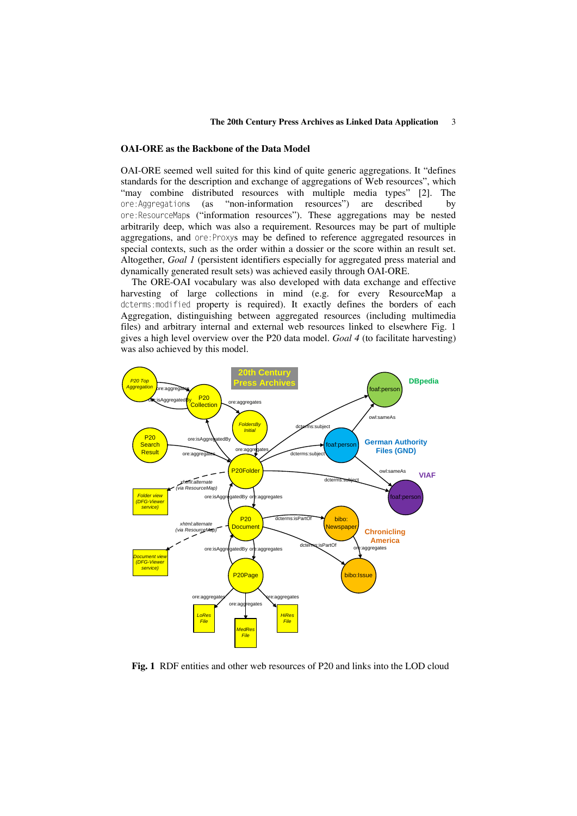#### **The 20th Century Press Archives as Linked Data Application** 3

# **OAI-ORE as the Backbone of the Data Model**

OAI-ORE seemed well suited for this kind of quite generic aggregations. It "defines standards for the description and exchange of aggregations of Web resources", which "may combine distributed resources with multiple media types" [2]. The ore:Aggregations (as "non-information resources") are described by ore:ResourceMaps ("information resources"). These aggregations may be nested arbitrarily deep, which was also a requirement. Resources may be part of multiple aggregations, and ore:Proxys may be defined to reference aggregated resources in special contexts, such as the order within a dossier or the score within an result set. Altogether, *Goal 1* (persistent identifiers especially for aggregated press material and dynamically generated result sets) was achieved easily through OAI-ORE.

The ORE-OAI vocabulary was also developed with data exchange and effective harvesting of large collections in mind (e.g. for every ResourceMap a dcterms:modified property is required). It exactly defines the borders of each Aggregation, distinguishing between aggregated resources (including multimedia files) and arbitrary internal and external web resources linked to elsewhere Fig. 1 gives a high level overview over the P20 data model. *Goal 4* (to facilitate harvesting) was also achieved by this model.



**Fig. 1** RDF entities and other web resources of P20 and links into the LOD cloud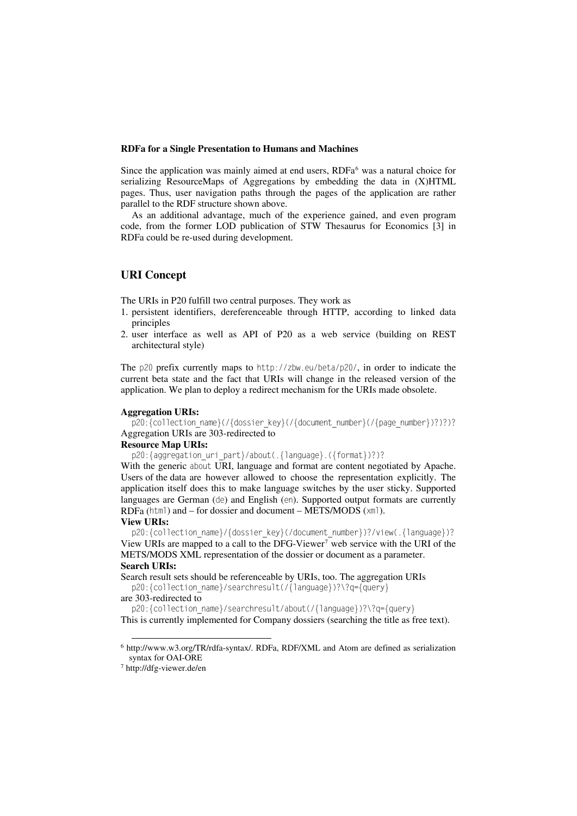#### **RDFa for a Single Presentation to Humans and Machines**

Since the application was mainly aimed at end users, RDFa<sup>[6](#page-3-0)</sup> was a natural choice for serializing ResourceMaps of Aggregations by embedding the data in (X)HTML pages. Thus, user navigation paths through the pages of the application are rather parallel to the RDF structure shown above.

As an additional advantage, much of the experience gained, and even program code, from the former LOD publication of STW Thesaurus for Economics [3] in RDFa could be re-used during development.

# **URI Concept**

The URIs in P20 fulfill two central purposes. They work as

- 1. persistent identifiers, dereferenceable through HTTP, according to linked data principles
- 2. user interface as well as API of P20 as a web service (building on REST architectural style)

The p20 prefix currently maps to http://zbw.eu/beta/p20/, in order to indicate the current beta state and the fact that URIs will change in the released version of the application. We plan to deploy a redirect mechanism for the URIs made obsolete.

#### **Aggregation URIs:**

p20:{collection\_name}(/{dossier\_key}(/{document\_number}(/{page\_number})?)?)? Aggregation URIs are 303-redirected to

#### **Resource Map URIs:**

p20:{aggregation\_uri\_part}/about(.{language}.({format})?)?

With the generic about URI, language and format are content negotiated by Apache. Users of the data are however allowed to choose the representation explicitly. The application itself does this to make language switches by the user sticky. Supported languages are German (de) and English (en). Supported output formats are currently RDFa (html) and – for dossier and document – METS/MODS (xml).

#### **View URIs:**

p20:{collection\_name}/{dossier\_key}(/document\_number})?/view(.{language})? View URIs are mapped to a call to the DFG-Viewer[7](#page-3-1) web service with the URI of the METS/MODS XML representation of the dossier or document as a parameter. **Search URIs:** 

Search result sets should be referenceable by URIs, too. The aggregation URIs p20:{collection name}/searchresult(/{language})?\?q={query}

#### are 303-redirected to

p20:{collection\_name}/searchresult/about(/{language})?\?q={query} This is currently implemented for Company dossiers (searching the title as free text).

<span id="page-3-0"></span> <sup>6</sup> http://www.w3.org/TR/rdfa-syntax/. RDFa, RDF/XML and Atom are defined as serialization syntax for OAI-ORE<br><sup>7</sup> http://dfg-viewer.de/en

<span id="page-3-1"></span>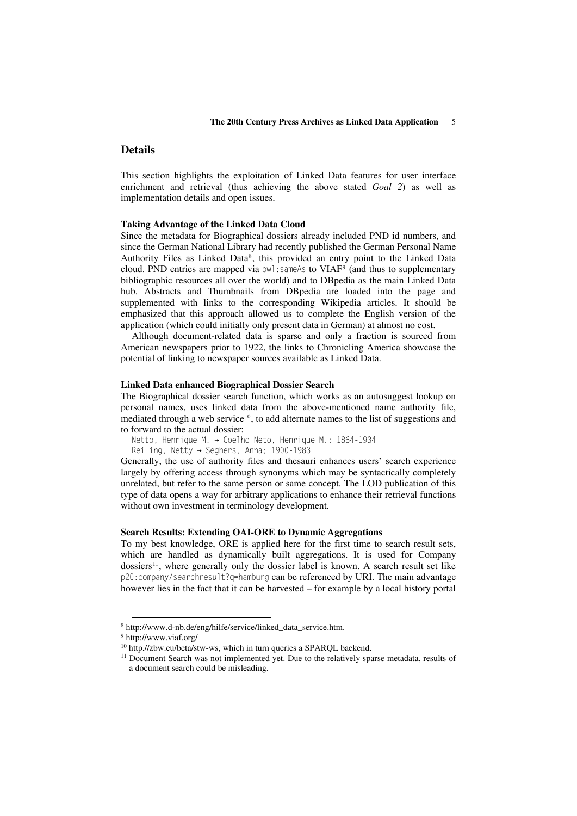# **Details**

This section highlights the exploitation of Linked Data features for user interface enrichment and retrieval (thus achieving the above stated *Goal 2*) as well as implementation details and open issues.

#### **Taking Advantage of the Linked Data Cloud**

Since the metadata for Biographical dossiers already included PND id numbers, and since the German National Library had recently published the German Personal Name Authority Files as Linked Data<sup>[8](#page-4-0)</sup>, this provided an entry point to the Linked Data cloud. PND entries are mapped via  $\omega$ l: sameAs to VIAF<sup>[9](#page-4-1)</sup> (and thus to supplementary bibliographic resources all over the world) and to DBpedia as the main Linked Data hub. Abstracts and Thumbnails from DBpedia are loaded into the page and supplemented with links to the corresponding Wikipedia articles. It should be emphasized that this approach allowed us to complete the English version of the application (which could initially only present data in German) at almost no cost.

Although document-related data is sparse and only a fraction is sourced from American newspapers prior to 1922, the links to Chronicling America showcase the potential of linking to newspaper sources available as Linked Data.

#### **Linked Data enhanced Biographical Dossier Search**

The Biographical dossier search function, which works as an autosuggest lookup on personal names, uses linked data from the above-mentioned name authority file, mediated through a web service<sup>10</sup>, to add alternate names to the list of suggestions and to forward to the actual dossier:

Netto, Henrique M. → Coelho Neto, Henrique M.; 1864-1934

Reiling, Netty → Seghers, Anna; 1900-1983

Generally, the use of authority files and thesauri enhances users' search experience largely by offering access through synonyms which may be syntactically completely unrelated, but refer to the same person or same concept. The LOD publication of this type of data opens a way for arbitrary applications to enhance their retrieval functions without own investment in terminology development.

## **Search Results: Extending OAI-ORE to Dynamic Aggregations**

To my best knowledge, ORE is applied here for the first time to search result sets, which are handled as dynamically built aggregations. It is used for Company dossiers<sup>[11](#page-4-3)</sup>, where generally only the dossier label is known. A search result set like p20:company/searchresult?q=hamburg can be referenced by URI. The main advantage however lies in the fact that it can be harvested – for example by a local history portal

<span id="page-4-2"></span><span id="page-4-1"></span><span id="page-4-0"></span>

<sup>8</sup> http://www.d-nb.de/eng/hilfe/service/linked\_data\_service.htm.<br>9 http://www.viaf.org/<br><sup>10</sup> http.//zbw.eu/beta/stw-ws, which in turn queries a SPARQL backend.

<span id="page-4-3"></span> $11$  Document Search was not implemented yet. Due to the relatively sparse metadata, results of a document search could be misleading.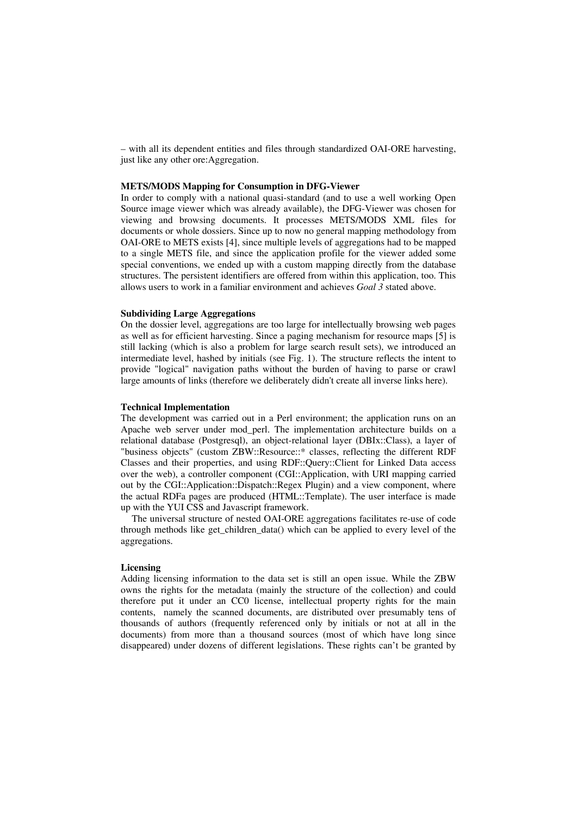– with all its dependent entities and files through standardized OAI-ORE harvesting, just like any other ore:Aggregation.

## **METS/MODS Mapping for Consumption in DFG-Viewer**

In order to comply with a national quasi-standard (and to use a well working Open Source image viewer which was already available), the DFG-Viewer was chosen for viewing and browsing documents. It processes METS/MODS XML files for documents or whole dossiers. Since up to now no general mapping methodology from OAI-ORE to METS exists [4], since multiple levels of aggregations had to be mapped to a single METS file, and since the application profile for the viewer added some special conventions, we ended up with a custom mapping directly from the database structures. The persistent identifiers are offered from within this application, too. This allows users to work in a familiar environment and achieves *Goal 3* stated above.

# **Subdividing Large Aggregations**

On the dossier level, aggregations are too large for intellectually browsing web pages as well as for efficient harvesting. Since a paging mechanism for resource maps [5] is still lacking (which is also a problem for large search result sets), we introduced an intermediate level, hashed by initials (see Fig. 1). The structure reflects the intent to provide "logical" navigation paths without the burden of having to parse or crawl large amounts of links (therefore we deliberately didn't create all inverse links here).

# **Technical Implementation**

The development was carried out in a Perl environment; the application runs on an Apache web server under mod\_perl. The implementation architecture builds on a relational database (Postgresql), an object-relational layer (DBIx::Class), a layer of "business objects" (custom ZBW::Resource::\* classes, reflecting the different RDF Classes and their properties, and using RDF::Query::Client for Linked Data access over the web), a controller component (CGI::Application, with URI mapping carried out by the CGI::Application::Dispatch::Regex Plugin) and a view component, where the actual RDFa pages are produced (HTML::Template). The user interface is made up with the YUI CSS and Javascript framework.

The universal structure of nested OAI-ORE aggregations facilitates re-use of code through methods like get\_children\_data() which can be applied to every level of the aggregations.

# **Licensing**

Adding licensing information to the data set is still an open issue. While the ZBW owns the rights for the metadata (mainly the structure of the collection) and could therefore put it under an CC0 license, intellectual property rights for the main contents, namely the scanned documents, are distributed over presumably tens of thousands of authors (frequently referenced only by initials or not at all in the documents) from more than a thousand sources (most of which have long since disappeared) under dozens of different legislations. These rights can't be granted by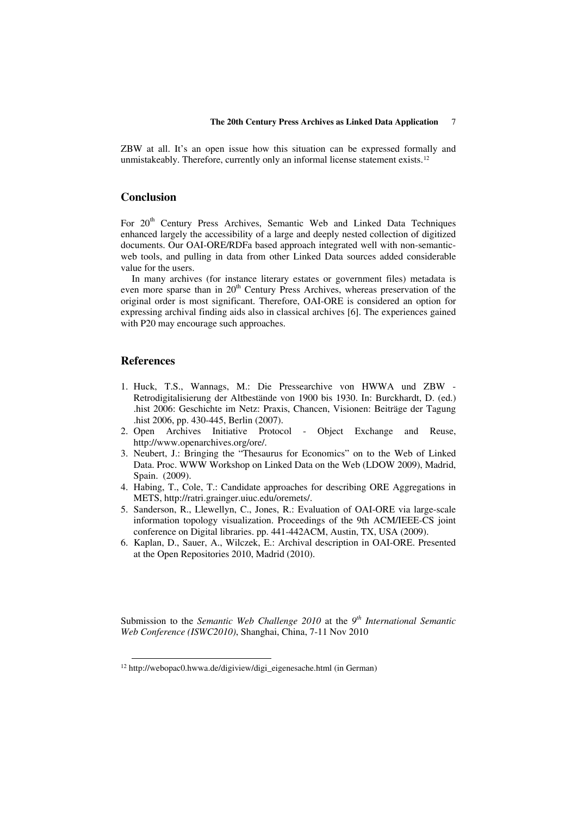ZBW at all. It's an open issue how this situation can be expressed formally and unmistakeably. Therefore, currently only an informal license statement exists.<sup>[12](#page-6-0)</sup>

# **Conclusion**

For 20<sup>th</sup> Century Press Archives, Semantic Web and Linked Data Techniques enhanced largely the accessibility of a large and deeply nested collection of digitized documents. Our OAI-ORE/RDFa based approach integrated well with non-semanticweb tools, and pulling in data from other Linked Data sources added considerable value for the users.

In many archives (for instance literary estates or government files) metadata is even more sparse than in  $20<sup>th</sup>$  Century Press Archives, whereas preservation of the original order is most significant. Therefore, OAI-ORE is considered an option for expressing archival finding aids also in classical archives [6]. The experiences gained with P20 may encourage such approaches.

# **References**

-

- 1. Huck, T.S., Wannags, M.: Die Pressearchive von HWWA und ZBW Retrodigitalisierung der Altbestände von 1900 bis 1930. In: Burckhardt, D. (ed.) .hist 2006: Geschichte im Netz: Praxis, Chancen, Visionen: Beiträge der Tagung .hist 2006, pp. 430-445, Berlin (2007).
- 2. Open Archives Initiative Protocol Object Exchange and Reuse, http://www.openarchives.org/ore/.
- 3. Neubert, J.: Bringing the "Thesaurus for Economics" on to the Web of Linked Data. Proc. WWW Workshop on Linked Data on the Web (LDOW 2009), Madrid, Spain. (2009).
- 4. Habing, T., Cole, T.: Candidate approaches for describing ORE Aggregations in METS, http://ratri.grainger.uiuc.edu/oremets/.
- 5. Sanderson, R., Llewellyn, C., Jones, R.: Evaluation of OAI-ORE via large-scale information topology visualization. Proceedings of the 9th ACM/IEEE-CS joint conference on Digital libraries. pp. 441-442ACM, Austin, TX, USA (2009).
- 6. Kaplan, D., Sauer, A., Wilczek, E.: Archival description in OAI-ORE. Presented at the Open Repositories 2010, Madrid (2010).

Submission to the *Semantic Web Challenge 2010* at the *9th International Semantic Web Conference (ISWC2010)*, Shanghai, China, 7-11 Nov 2010

<span id="page-6-0"></span><sup>12</sup> http://webopac0.hwwa.de/digiview/digi\_eigenesache.html (in German)